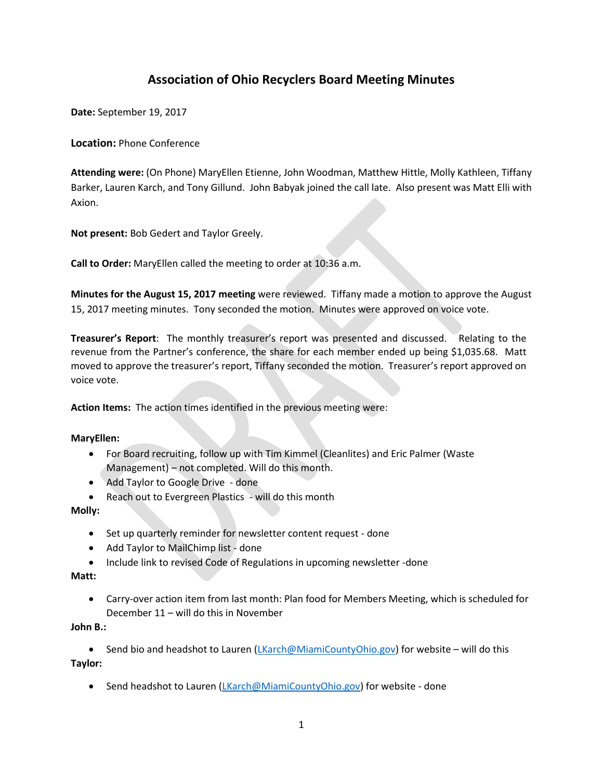# **Association of Ohio Recyclers Board Meeting Minutes**

**Date:** September 19, 2017

**Location:** Phone Conference

**Attending were:** (On Phone) MaryEllen Etienne, John Woodman, Matthew Hittle, Molly Kathleen, Tiffany Barker, Lauren Karch, and Tony Gillund. John Babyak joined the call late. Also present was Matt Elli with Axion.

**Not present:** Bob Gedert and Taylor Greely.

**Call to Order:** MaryEllen called the meeting to order at 10:36 a.m.

**Minutes for the August 15, 2017 meeting** were reviewed. Tiffany made a motion to approve the August 15, 2017 meeting minutes. Tony seconded the motion. Minutes were approved on voice vote.

**Treasurer's Report**: The monthly treasurer's report was presented and discussed. Relating to the revenue from the Partner's conference, the share for each member ended up being \$1,035.68. Matt moved to approve the treasurer's report, Tiffany seconded the motion. Treasurer's report approved on voice vote.

**Action Items:** The action times identified in the previous meeting were:

## **MaryEllen:**

- For Board recruiting, follow up with Tim Kimmel (Cleanlites) and Eric Palmer (Waste Management) – not completed. Will do this month.
- Add Taylor to Google Drive done
- Reach out to Evergreen Plastics will do this month

## **Molly:**

- Set up quarterly reminder for newsletter content request done
- Add Taylor to MailChimp list done
- Include link to revised Code of Regulations in upcoming newsletter -done

## **Matt:**

• Carry-over action item from last month: Plan food for Members Meeting, which is scheduled for December 11 – will do this in November

## **John B.:**

• Send bio and headshot to Lauren [\(LKarch@MiamiCountyOhio.gov\)](mailto:LKarch@MiamiCountyOhio.gov) for website – will do this **Taylor:** 

• Send headshot to Lauren (*LKarch@MiamiCountyOhio.gov*) for website - done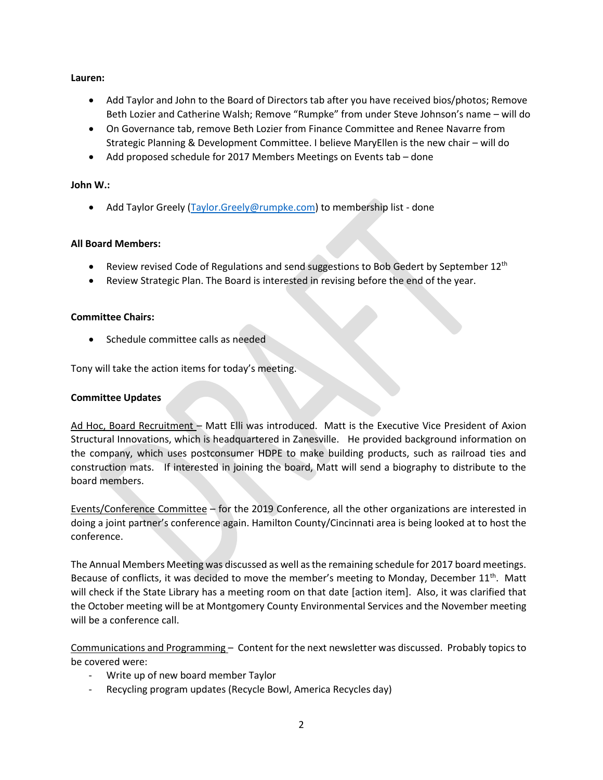## **Lauren:**

- Add Taylor and John to the Board of Directors tab after you have received bios/photos; Remove Beth Lozier and Catherine Walsh; Remove "Rumpke" from under Steve Johnson's name – will do
- On Governance tab, remove Beth Lozier from Finance Committee and Renee Navarre from Strategic Planning & Development Committee. I believe MaryEllen is the new chair – will do
- Add proposed schedule for 2017 Members Meetings on Events tab done

## **John W.:**

• Add Taylor Greely [\(Taylor.Greely@rumpke.com\)](mailto:Taylor.Greely@rumpke.com) to membership list - done

## **All Board Members:**

- Review revised Code of Regulations and send suggestions to Bob Gedert by September  $12^{th}$
- Review Strategic Plan. The Board is interested in revising before the end of the year.

## **Committee Chairs:**

Schedule committee calls as needed

Tony will take the action items for today's meeting.

## **Committee Updates**

Ad Hoc, Board Recruitment – Matt Elli was introduced. Matt is the Executive Vice President of Axion Structural Innovations, which is headquartered in Zanesville. He provided background information on the company, which uses postconsumer HDPE to make building products, such as railroad ties and construction mats. If interested in joining the board, Matt will send a biography to distribute to the board members.

Events/Conference Committee – for the 2019 Conference, all the other organizations are interested in doing a joint partner's conference again. Hamilton County/Cincinnati area is being looked at to host the conference.

The Annual Members Meeting was discussed as well as the remaining schedule for 2017 board meetings. Because of conflicts, it was decided to move the member's meeting to Monday, December 11<sup>th</sup>. Matt will check if the State Library has a meeting room on that date [action item]. Also, it was clarified that the October meeting will be at Montgomery County Environmental Services and the November meeting will be a conference call.

Communications and Programming – Content for the next newsletter was discussed. Probably topics to be covered were:

- Write up of new board member Taylor
- Recycling program updates (Recycle Bowl, America Recycles day)